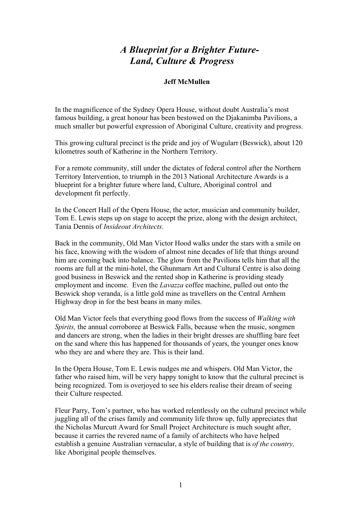## *A Blueprint for a Brighter Future- Land, Culture & Progress*

## **Jeff McMullen**

In the magnificence of the Sydney Opera House, without doubt Australia's most famous building, a great honour has been bestowed on the Djakanimba Pavilions, a much smaller but powerful expression of Aboriginal Culture, creativity and progress.

This growing cultural precinct is the pride and joy of Wugularr (Beswick), about 120 kilometres south of Katherine in the Northern Territory.

For a remote community, still under the dictates of federal control after the Northern Territory Intervention, to triumph in the 2013 National Architecture Awards is a blueprint for a brighter future where land, Culture, Aboriginal control and development fit perfectly.

In the Concert Hall of the Opera House, the actor, musician and community builder, Tom E. Lewis steps up on stage to accept the prize, along with the design architect, Tania Dennis of *Insideout Architects.*

Back in the community, Old Man Victor Hood walks under the stars with a smile on his face, knowing with the wisdom of almost nine decades of life that things around him are coming back into balance. The glow from the Pavilions tells him that all the rooms are full at the mini-hotel, the Ghunmarn Art and Cultural Centre is also doing good business in Beswick and the rented shop in Katherine is providing steady employment and income. Even the *Lavazza* coffee machine, pulled out onto the Beswick shop veranda, is a little gold mine as travellers on the Central Arnhem Highway drop in for the best beans in many miles.

Old Man Victor feels that everything good flows from the success of *Walking with Spirits,* the annual corroboree at Beswick Falls, because when the music, songmen and dancers are strong, when the ladies in their bright dresses are shuffling bare feet on the sand where this has happened for thousands of years, the younger ones know who they are and where they are. This is their land.

In the Opera House, Tom E. Lewis nudges me and whispers. Old Man Victor, the father who raised him, will be very happy tonight to know that the cultural precinct is being recognized. Tom is overjoyed to see his elders realise their dream of seeing their Culture respected.

Fleur Parry, Tom's partner, who has worked relentlessly on the cultural precinct while juggling all of the crises family and community life throw up, fully appreciates that the Nicholas Murcutt Award for Small Project Architecture is much sought after, because it carries the revered name of a family of architects who have helped establish a genuine Australian vernacular, a style of building that is *of the country,*  like Aboriginal people themselves.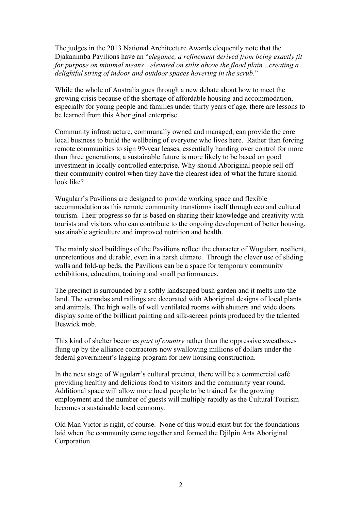The judges in the 2013 National Architecture Awards eloquently note that the Djakanimba Pavilions have an "*elegance, a refinement derived from being exactly fit for purpose on minimal means…elevated on stilts above the flood plain…creating a delightful string of indoor and outdoor spaces hovering in the scrub*."

While the whole of Australia goes through a new debate about how to meet the growing crisis because of the shortage of affordable housing and accommodation, especially for young people and families under thirty years of age, there are lessons to be learned from this Aboriginal enterprise.

Community infrastructure, communally owned and managed, can provide the core local business to build the wellbeing of everyone who lives here. Rather than forcing remote communities to sign 99-year leases, essentially handing over control for more than three generations, a sustainable future is more likely to be based on good investment in locally controlled enterprise. Why should Aboriginal people sell off their community control when they have the clearest idea of what the future should look like?

Wugularr's Pavilions are designed to provide working space and flexible accommodation as this remote community transforms itself through eco and cultural tourism. Their progress so far is based on sharing their knowledge and creativity with tourists and visitors who can contribute to the ongoing development of better housing, sustainable agriculture and improved nutrition and health.

The mainly steel buildings of the Pavilions reflect the character of Wugularr, resilient, unpretentious and durable, even in a harsh climate. Through the clever use of sliding walls and fold-up beds, the Pavilions can be a space for temporary community exhibitions, education, training and small performances.

The precinct is surrounded by a softly landscaped bush garden and it melts into the land. The verandas and railings are decorated with Aboriginal designs of local plants and animals. The high walls of well ventilated rooms with shutters and wide doors display some of the brilliant painting and silk-screen prints produced by the talented Beswick mob.

This kind of shelter becomes *part of country* rather than the oppressive sweatboxes flung up by the alliance contractors now swallowing millions of dollars under the federal government's lagging program for new housing construction.

In the next stage of Wugularr's cultural precinct, there will be a commercial café providing healthy and delicious food to visitors and the community year round. Additional space will allow more local people to be trained for the growing employment and the number of guests will multiply rapidly as the Cultural Tourism becomes a sustainable local economy.

Old Man Victor is right, of course. None of this would exist but for the foundations laid when the community came together and formed the Djilpin Arts Aboriginal Corporation.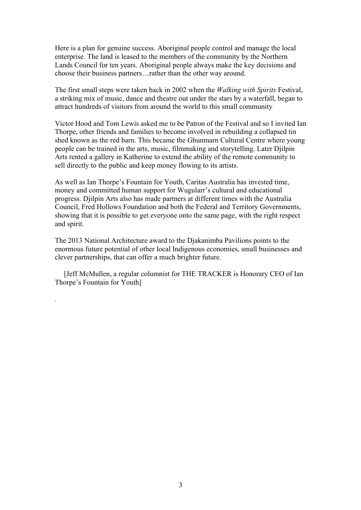Here is a plan for genuine success. Aboriginal people control and manage the local enterprise. The land is leased to the members of the community by the Northern Lands Council for ten years. Aboriginal people always make the key decisions and choose their business partners…rather than the other way around.

The first small steps were taken back in 2002 when the *Walking with Spirits* Festival, a striking mix of music, dance and theatre out under the stars by a waterfall, began to attract hundreds of visitors from around the world to this small community

Victor Hood and Tom Lewis asked me to be Patron of the Festival and so I invited Ian Thorpe, other friends and families to become involved in rebuilding a collapsed tin shed known as the red barn. This became the Ghunmarn Cultural Centre where young people can be trained in the arts, music, filmmaking and storytelling. Later Djilpin Arts rented a gallery in Katherine to extend the ability of the remote community to sell directly to the public and keep money flowing to its artists.

As well as Ian Thorpe's Fountain for Youth, Caritas Australia has invested time, money and committed human support for Wugularr's cultural and educational progress. Djilpin Arts also has made partners at different times with the Australia Council, Fred Hollows Foundation and both the Federal and Territory Governments, showing that it is possible to get everyone onto the same page, with the right respect and spirit.

The 2013 National Architecture award to the Djakanimba Pavilions points to the enormous future potential of other local Indigenous economies, small businesses and clever partnerships, that can offer a much brighter future.

 [Jeff McMullen, a regular columnist for THE TRACKER is Honorary CEO of Ian Thorpe's Fountain for Youth]

*.*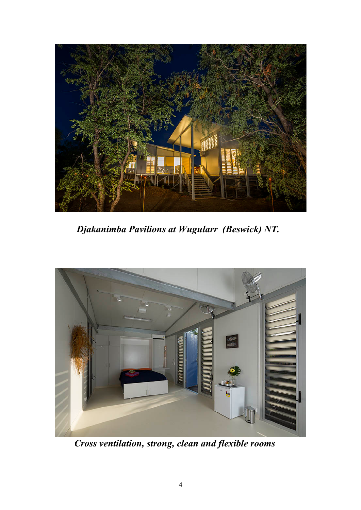

 *Djakanimba Pavilions at Wugularr (Beswick) NT.*



 *Cross ventilation, strong, clean and flexible rooms*